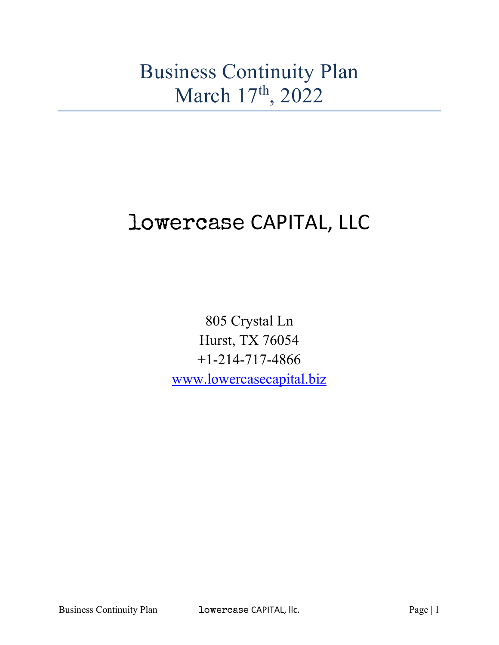# Business Continuity Plan March 17<sup>th</sup>, 2022

# lowercase CAPITAL, LLC

805 Crystal Ln Hurst, TX 76054 +1-214-717-4866 www.lowercasecapital.biz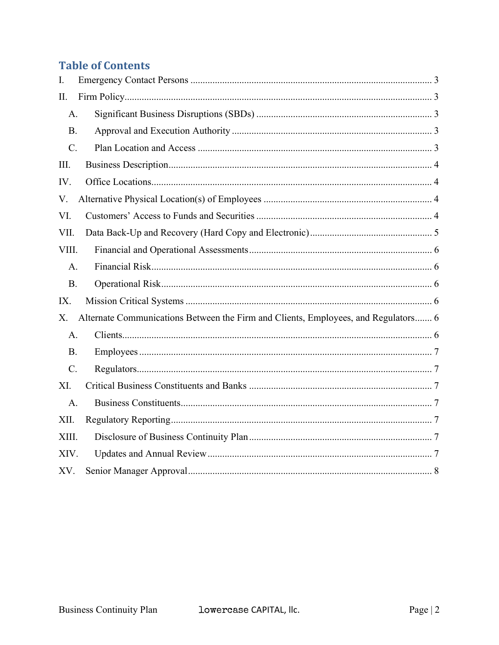#### **Table of Contents**

| I.        |                                                                                    |
|-----------|------------------------------------------------------------------------------------|
| II.       |                                                                                    |
| A.        |                                                                                    |
| <b>B.</b> |                                                                                    |
| C.        |                                                                                    |
| III.      |                                                                                    |
| IV.       |                                                                                    |
| V.        |                                                                                    |
| VI.       |                                                                                    |
| VII.      |                                                                                    |
| VIII.     |                                                                                    |
| A.        |                                                                                    |
| <b>B.</b> |                                                                                    |
| IX.       |                                                                                    |
| X.        | Alternate Communications Between the Firm and Clients, Employees, and Regulators 6 |
| A.        |                                                                                    |
| <b>B.</b> |                                                                                    |
| C.        |                                                                                    |
| XI.       |                                                                                    |
| A.        |                                                                                    |
| XII.      |                                                                                    |
| XIII.     |                                                                                    |
| XIV.      |                                                                                    |
| XV.       |                                                                                    |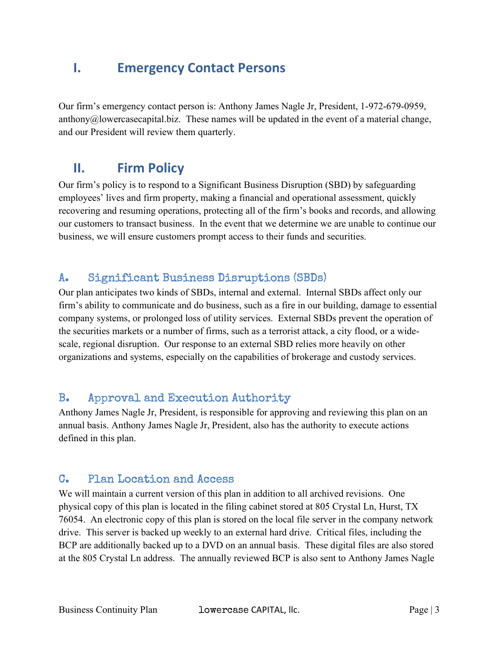## I. Emergency Contact Persons

Our firm's emergency contact person is: Anthony James Nagle Jr, President, 1-972-679-0959, anthony $@$ lowercasecapital.biz. These names will be updated in the event of a material change, and our President will review them quarterly.

# II. Firm Policy

Our firm's policy is to respond to a Significant Business Disruption (SBD) by safeguarding employees' lives and firm property, making a financial and operational assessment, quickly recovering and resuming operations, protecting all of the firm's books and records, and allowing our customers to transact business. In the event that we determine we are unable to continue our business, we will ensure customers prompt access to their funds and securities.

#### A. Significant Business Disruptions (SBDs)

Our plan anticipates two kinds of SBDs, internal and external. Internal SBDs affect only our firm's ability to communicate and do business, such as a fire in our building, damage to essential company systems, or prolonged loss of utility services. External SBDs prevent the operation of the securities markets or a number of firms, such as a terrorist attack, a city flood, or a widescale, regional disruption. Our response to an external SBD relies more heavily on other organizations and systems, especially on the capabilities of brokerage and custody services.

#### B. Approval and Execution Authority

Anthony James Nagle Jr, President, is responsible for approving and reviewing this plan on an annual basis. Anthony James Nagle Jr, President, also has the authority to execute actions defined in this plan.

#### C. Plan Location and Access

We will maintain a current version of this plan in addition to all archived revisions. One physical copy of this plan is located in the filing cabinet stored at 805 Crystal Ln, Hurst, TX 76054. An electronic copy of this plan is stored on the local file server in the company network drive. This server is backed up weekly to an external hard drive. Critical files, including the BCP are additionally backed up to a DVD on an annual basis. These digital files are also stored at the 805 Crystal Ln address. The annually reviewed BCP is also sent to Anthony James Nagle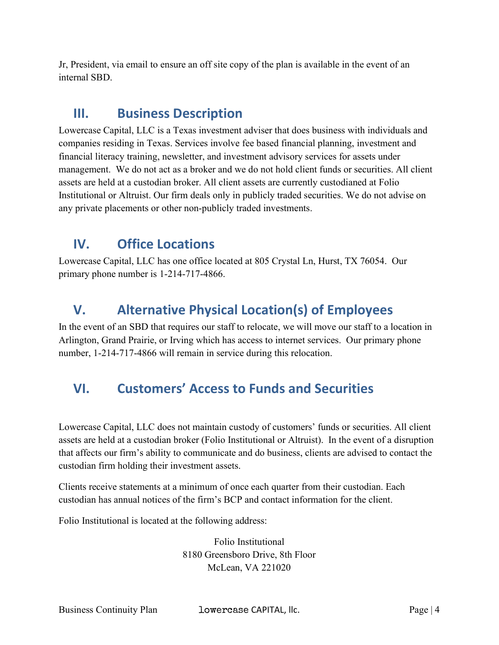Jr, President, via email to ensure an off site copy of the plan is available in the event of an internal SBD.

### III. Business Description

Lowercase Capital, LLC is a Texas investment adviser that does business with individuals and companies residing in Texas. Services involve fee based financial planning, investment and financial literacy training, newsletter, and investment advisory services for assets under management. We do not act as a broker and we do not hold client funds or securities. All client assets are held at a custodian broker. All client assets are currently custodianed at Folio Institutional or Altruist. Our firm deals only in publicly traded securities. We do not advise on any private placements or other non-publicly traded investments.

# IV. Office Locations

Lowercase Capital, LLC has one office located at 805 Crystal Ln, Hurst, TX 76054. Our primary phone number is 1-214-717-4866.

# V. Alternative Physical Location(s) of Employees

In the event of an SBD that requires our staff to relocate, we will move our staff to a location in Arlington, Grand Prairie, or Irving which has access to internet services. Our primary phone number, 1-214-717-4866 will remain in service during this relocation.

# VI. Customers' Access to Funds and Securities

Lowercase Capital, LLC does not maintain custody of customers' funds or securities. All client assets are held at a custodian broker (Folio Institutional or Altruist). In the event of a disruption that affects our firm's ability to communicate and do business, clients are advised to contact the custodian firm holding their investment assets.

Clients receive statements at a minimum of once each quarter from their custodian. Each custodian has annual notices of the firm's BCP and contact information for the client.

Folio Institutional is located at the following address:

Folio Institutional 8180 Greensboro Drive, 8th Floor McLean, VA 221020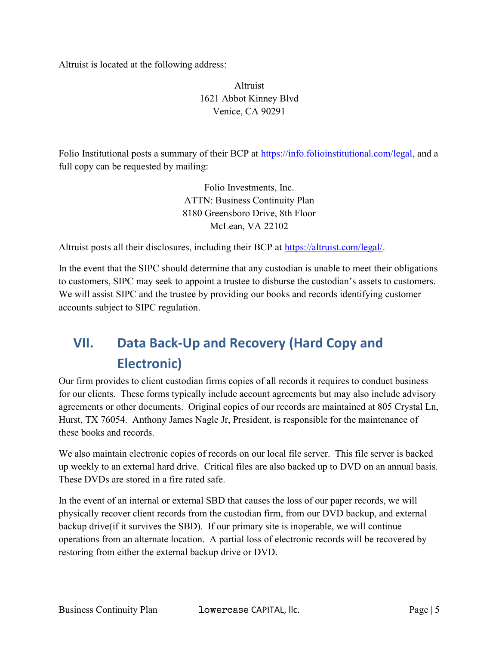Altruist is located at the following address:

#### Altruist 1621 Abbot Kinney Blvd Venice, CA 90291

Folio Institutional posts a summary of their BCP at https://info.folioinstitutional.com/legal, and a full copy can be requested by mailing:

> Folio Investments, Inc. ATTN: Business Continuity Plan 8180 Greensboro Drive, 8th Floor McLean, VA 22102

Altruist posts all their disclosures, including their BCP at https://altruist.com/legal/.

In the event that the SIPC should determine that any custodian is unable to meet their obligations to customers, SIPC may seek to appoint a trustee to disburse the custodian's assets to customers. We will assist SIPC and the trustee by providing our books and records identifying customer accounts subject to SIPC regulation.

# VII. Data Back-Up and Recovery (Hard Copy and Electronic)

Our firm provides to client custodian firms copies of all records it requires to conduct business for our clients. These forms typically include account agreements but may also include advisory agreements or other documents. Original copies of our records are maintained at 805 Crystal Ln, Hurst, TX 76054. Anthony James Nagle Jr, President, is responsible for the maintenance of these books and records.

We also maintain electronic copies of records on our local file server. This file server is backed up weekly to an external hard drive. Critical files are also backed up to DVD on an annual basis. These DVDs are stored in a fire rated safe.

In the event of an internal or external SBD that causes the loss of our paper records, we will physically recover client records from the custodian firm, from our DVD backup, and external backup drive(if it survives the SBD). If our primary site is inoperable, we will continue operations from an alternate location. A partial loss of electronic records will be recovered by restoring from either the external backup drive or DVD.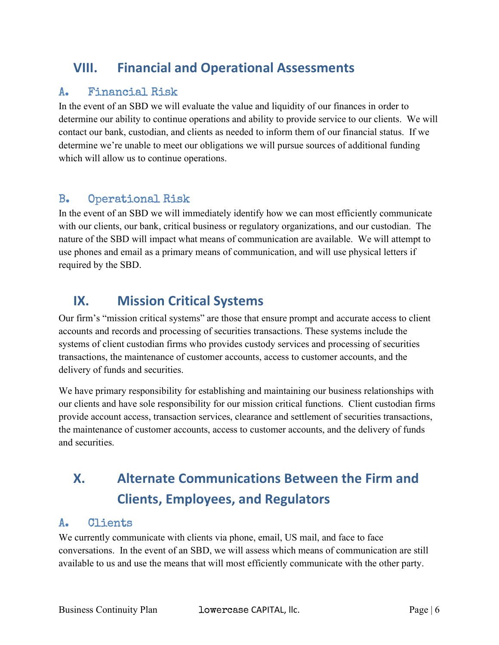# VIII. Financial and Operational Assessments

#### A. Financial Risk

In the event of an SBD we will evaluate the value and liquidity of our finances in order to determine our ability to continue operations and ability to provide service to our clients. We will contact our bank, custodian, and clients as needed to inform them of our financial status. If we determine we're unable to meet our obligations we will pursue sources of additional funding which will allow us to continue operations.

#### B. Operational Risk

In the event of an SBD we will immediately identify how we can most efficiently communicate with our clients, our bank, critical business or regulatory organizations, and our custodian. The nature of the SBD will impact what means of communication are available. We will attempt to use phones and email as a primary means of communication, and will use physical letters if required by the SBD.

## IX. Mission Critical Systems

Our firm's "mission critical systems" are those that ensure prompt and accurate access to client accounts and records and processing of securities transactions. These systems include the systems of client custodian firms who provides custody services and processing of securities transactions, the maintenance of customer accounts, access to customer accounts, and the delivery of funds and securities.

We have primary responsibility for establishing and maintaining our business relationships with our clients and have sole responsibility for our mission critical functions. Client custodian firms provide account access, transaction services, clearance and settlement of securities transactions, the maintenance of customer accounts, access to customer accounts, and the delivery of funds and securities.

# X. Alternate Communications Between the Firm and Clients, Employees, and Regulators

#### A. Clients

We currently communicate with clients via phone, email, US mail, and face to face conversations. In the event of an SBD, we will assess which means of communication are still available to us and use the means that will most efficiently communicate with the other party.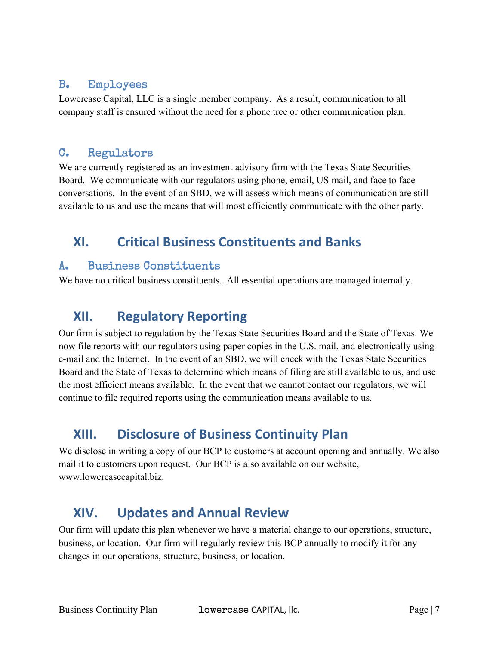#### B. Employees

Lowercase Capital, LLC is a single member company. As a result, communication to all company staff is ensured without the need for a phone tree or other communication plan.

#### C. Regulators

We are currently registered as an investment advisory firm with the Texas State Securities Board. We communicate with our regulators using phone, email, US mail, and face to face conversations. In the event of an SBD, we will assess which means of communication are still available to us and use the means that will most efficiently communicate with the other party.

# XI. Critical Business Constituents and Banks

#### A. Business Constituents

We have no critical business constituents. All essential operations are managed internally.

# XII. Regulatory Reporting

Our firm is subject to regulation by the Texas State Securities Board and the State of Texas. We now file reports with our regulators using paper copies in the U.S. mail, and electronically using e-mail and the Internet. In the event of an SBD, we will check with the Texas State Securities Board and the State of Texas to determine which means of filing are still available to us, and use the most efficient means available. In the event that we cannot contact our regulators, we will continue to file required reports using the communication means available to us.

# XIII. Disclosure of Business Continuity Plan

We disclose in writing a copy of our BCP to customers at account opening and annually. We also mail it to customers upon request. Our BCP is also available on our website, www.lowercasecapital.biz.

# XIV. Updates and Annual Review

Our firm will update this plan whenever we have a material change to our operations, structure, business, or location. Our firm will regularly review this BCP annually to modify it for any changes in our operations, structure, business, or location.